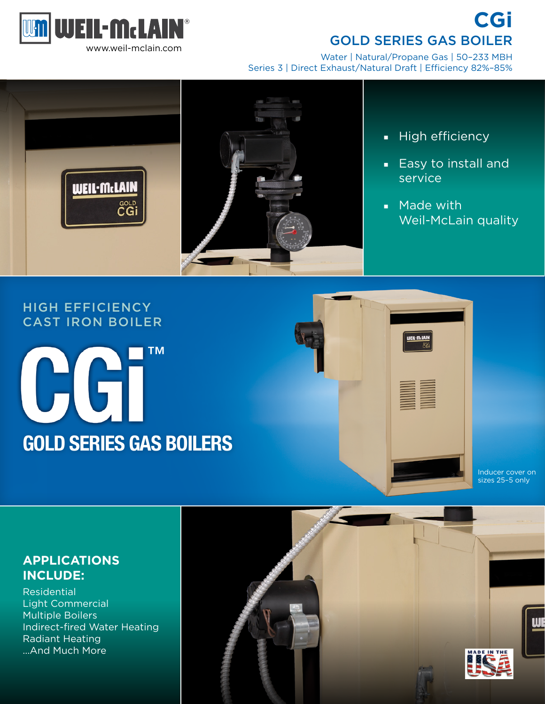

**CGi**  GOLD SERIES GAS BOILER

Water | Natural/Propane Gas | 50–233 MBH Series 3 | Direct Exhaust/Natural Draft | Efficiency 82%–85%



- High efficiency
- Easy to install and service
- Made with Weil-McLain quality

# HIGH EFFICIENCY CAST IRON BOILER





WEIL-McLAIN

#### Inducer cover on sizes 25–5 only

# **APPLICATIONS INCLUDE:**

**Residential** Light Commercial Multiple Boilers Indirect-fired Water Heating Radiant Heating …And Much More